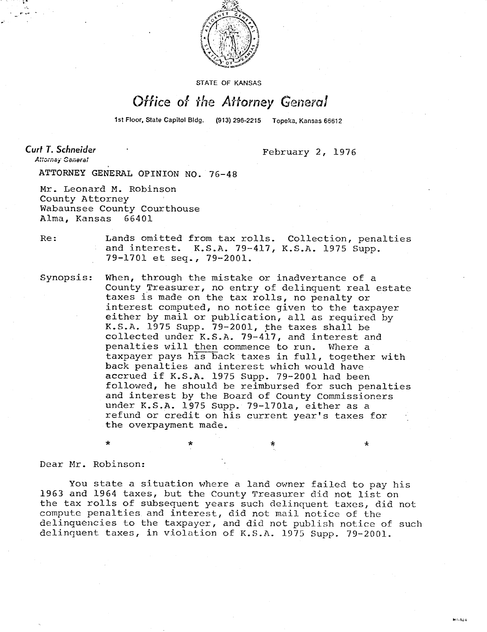

STATE OF KANSAS

## Office of the Attorney General

1st Floor, State Capitol Bldg. (913) 296-2215 Topeka, Kansas 66612

Curt T. Schneider Attorney General

February 2, 1976

ATTORNEY GENERAL OPINION NO. 76-48

Mr. Leonard M. Robinson County Attorney Wabaunsee County Courthouse Alma, Kansas 66401

Re: Lands omitted from tax rolls. Collection, penalties and interest. K.S.A. 79-417, K.S.A. 1975 Supp. 79-1701 et seq., 79-2001.

Synopsis: When, through the mistake or inadvertance of a County Treasurer, no entry of delinquent real estate taxes is made on the tax rolls, no penalty or interest computed, no notice given to the taxpayer either by mail or publication, all as required by K.S.A. 1975 Supp. 79-2001, the taxes shall be collected under K.S.A. 79-417, and interest and penalties will then commence to run. Where a taxpayer pays his back taxes in full, together with back penalties and interest which would have accrued if K.S.A. 1975 Supp. 79-2001 had been followed, he should be reimbursed for such penalties and interest by the Board of County Commissioners under K.S.A. 1975 Supp. 79-1701a, either as a refund or credit on his current year's taxes for the overpayment made.

 $\star$   $\star$   $\star$ 

Dear Mr. Robinson:

You state a situation where a land owner failed to pay his 1963 and 1964 taxes, but the County Treasurer did not list on the tax rolls of subsequent years such delinquent taxes, did not compute penalties and interest, did not mail notice of the delinquencies to the taxpayer, and did not publish notice of such delinquent taxes, in violation of K.S.A. 1975 Supp. 79-2001.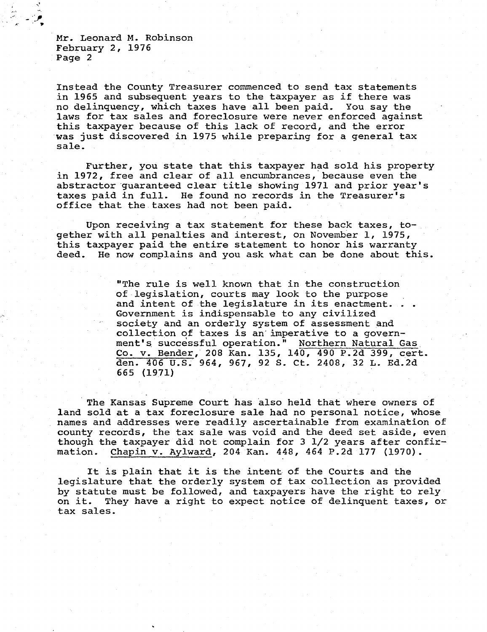Mr. Leonard M. Robinson February 2, 1976 Page 2

Instead the County Treasurer commenced to send tax statements in 1965 and subsequent years to the taxpayer as if there was no delinquency, which taxes have all been paid. You say the laws for tax sales and foreclosure were never enforced against this taxpayer because of this lack of record, and the error was just discovered in 1975 while preparing for a general tax sale.

Further, you state that this taxpayer had sold his property in 1972, free and clear of all encumbrances, because even the abstractor guaranteed clear title showing 1971 and prior year's taxes paid in full. He found no records in the Treasurer's office that the taxes had not been paid.

Upon receiving a tax statement for these back taxes, together with all penalties and interest, on November 1, 1975, this taxpayer paid the entire statement to honor his warranty deed. He now complains and you ask what can be done about this.

> "The rule is well known that in the construction of legislation, courts may look to the purpose and intent of the legislature in its enactment. Government is indispensable to any civilized society and an orderly system of assessment and collection of taxes is an imperative to a government's successful operation." Northern Natural Gas. Co. v. Bender, 208 Kan. 135, 140, 490 P.2d 399, cert. den. 406 U.S. 964, 967, 92 S. Ct. 2408, 32 L. Ed.2d 665 (1971)

The Kansas Supreme Court has also held that where owners of land sold at a tax foreclosure sale had no personal notice, whose names and addresses were readily ascertainable from examination of county records, the tax sale was void and the deed set aside, even though the taxpayer did not complain for 3 1/2 years after confirmation. Chapin v. Aylward, 204 Kan. 448, 464 P.2d 177 (1970).

It is plain that it is the intent of the Courts and the legislature that the orderly system of tax collection as provided by statute must be followed, and taxpayers have the right to rely on it. They have a right to expect notice of delinquent taxes, or They have a right to expect notice of delinquent taxes, or tax sales.